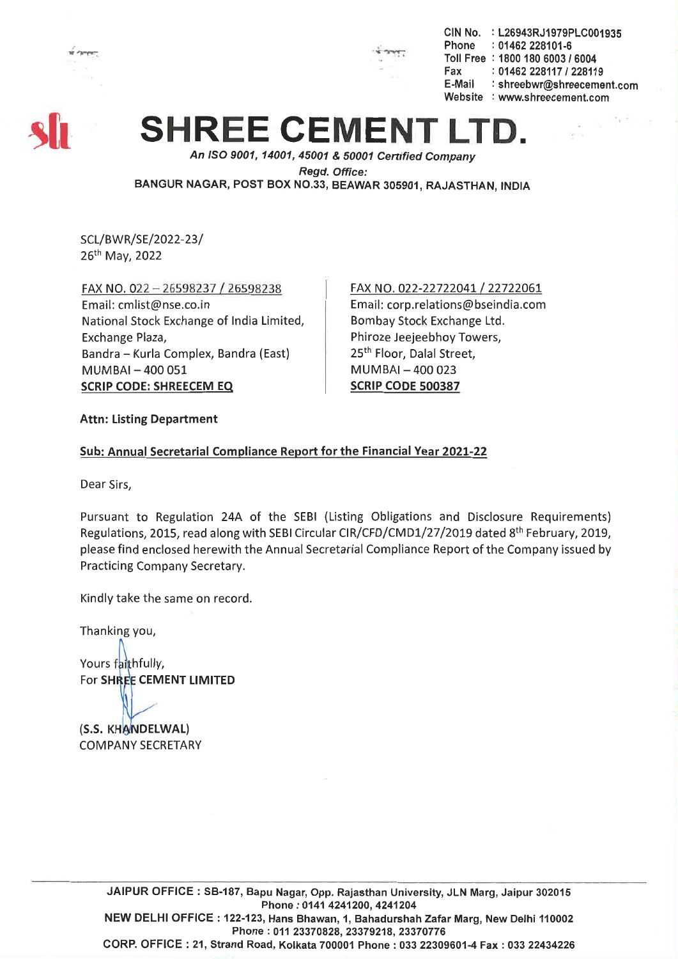

CIN No. : L26943RJ1979PLC001935 Phone : 01462 228101-6 Toll Free : 1800 180 6003 *1 6004* Fax: *01462228117/228119* E-Mail : shreebwr@shreecement.com Website : www.shreecement.com

# **SHREE CEMENT**

*An ISO 9001, 14001,45001* & *50001 Cenified Company Regd. Office:* BANGUR NAGAR, POST BOX NO.33, BEAWAR 305901, RAJASTHAN, INDIA

SCL/BWR/SE/2022-23/ 26th May, 2022

FAX NO. 022 - 26598237/26598238 Email: cmlist@nse.co.in National Stock Exchange of India Limited, Exchange Plaza, Bandra - Kurla Complex, Bandra (East)  $MUMBAI - 400051$ SCRIP CODE: SHREECEM EQ

#### FAX NO. 022-22722041/22722061 Email: corp.relations@bseindia.com Bombay Stock Exchange Ltd. Phiroze Jeejeebhoy Towers, 25<sup>th</sup> Floor, Dalal Street, MUMBAI-400023 SCRIP CODE 500387

#### Attn: Listing Department

#### Sub: Annual Secretarial Compliance Report for the Financial Year 2021-22

Dear Sirs,

Pursuant to Regulation 24A of the SEBI (Listing Obligations and Disclosure Requirements) Regulations, 2015, read along with SEBI Circular CIR/CFD/CMD1/27/2019 dated 8<sup>th</sup> February, 2019, please find enclosed herewith the Annual Secretarial Compliance Report of the Company issued by Practicing Company Secretary.

Kindly take the same on record.

Thanking you,

Yours faithfully, For SHREE CEMENT LIMITED

(S.S. KHANDELWAL) COMPANY SECRETARY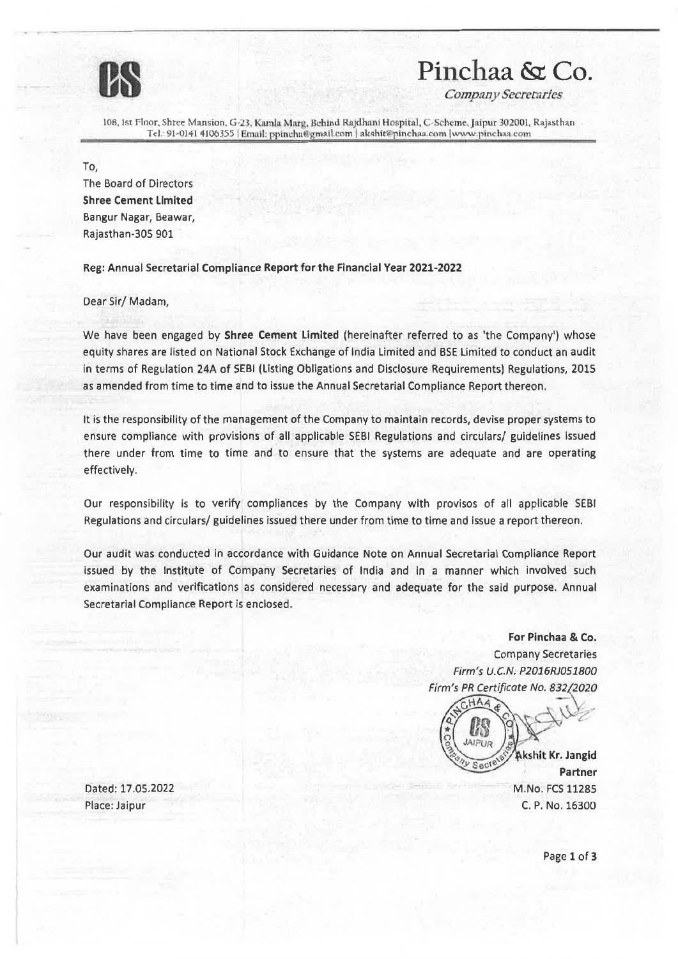

### **us Pinchaa &: Co.**

*Company Secretsdes*

108, 1st Floor, Shree Mansion, G-23, Kamla Marg, Behind Rajdhani Hospital, C-Scheme, Jaipur 302001. Rajasthan Tel.: 91-0141 4106355 | Email: ppincha@gmail.com | akshit@pinchaa.com | www.pinchaa.com

To,

The Board of Directors Shree Cement Limited Bangur Nagar, Beawar, Rajasthan-30S 901

Reg: Annual Secretarial Compliance Report for the Financial Year 2021-2022

Dear Sir/ Madam,

We have been engaged by Shree Cement limited (hereinafter referred to as 'the Company') whose equity shares are listed on National Stock Exchange of India Limited and BSE Limited to conduct an audit in terms of Regulation 24A of SEBI (Listing Obligations and Disclosure Requirements) Regulations, 2015 as amended from time to time and to issue the Annual Secretarial Compliance Report thereon.

It is the responsibility of the management of the Company to maintain records, devise proper systems to ensure compliance with provisions of all applicable SEBI Regulations and circulars/ guidelines issued there under from time to time and to ensure that the systems are adequate and are operating effectively.

Our responsibility is to verify compliances by the Company with provisos of all applicable SEBI Regulations and circulars/ guidelines issued there under from time to time and issue a report thereon.

Our audit was conducted in accordance with Guidance Note on Annual Secretarial Compliance Report issued by the Institute of Company Secretaries of India and In a manner which involved such examinations and verifications as considered necessary and adequate for the said purpose. Annual Secretarial Compliance Report is enclosed.

> For Pinchaa & Co. Company Secretaries *Firm's U.C.N. P2016RJ051800* Firm's PR Certificate No. 832/2020

 $CHA$ 

Akshit Kr. Jangid Partner M.No. FCS11285 C. P. No. 16300

Dated: 17.05.2022 Place: Jaipur

Page 1 of 3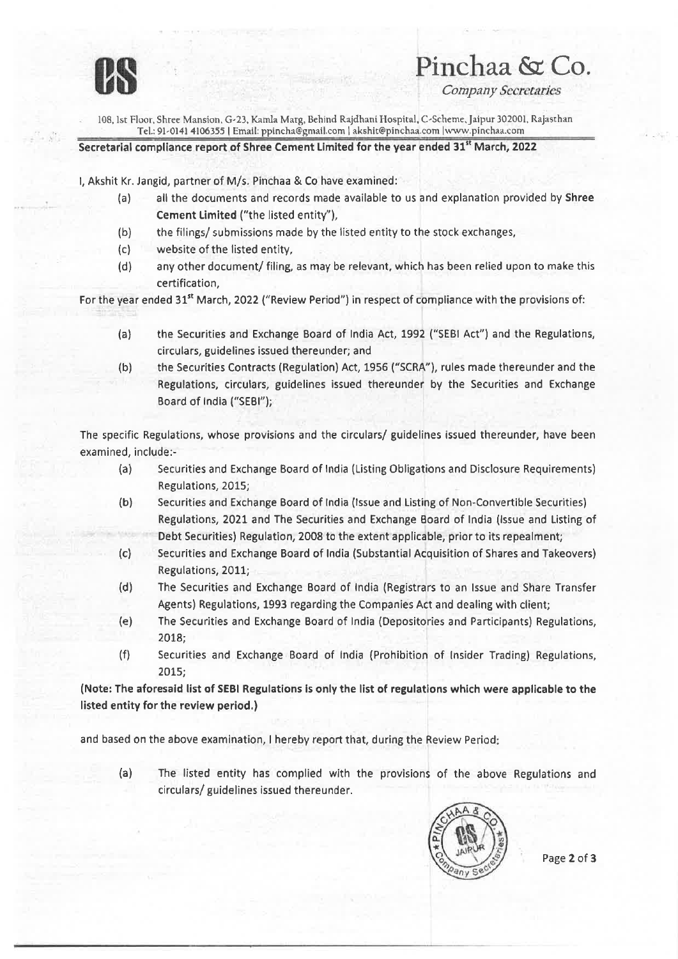

# **us** Pinchaa **&: Co.**

**Company Secretaries** 

lOS. 1st Floor. Shree Mansion. G-23. Kamla Marg, Behind Rajdhani Hospital, C>Scheme,Jaipur 302001. Rajasthan Tel.: 91-0141 4106355 | Email: ppincha@gmail.com | akshit@pinchaa.com | www.pinchaa.com

Secretarial compliance report of Shree Cement Limited for the year ended 31<sup>st</sup> March, 2022

I, Akshit Kr. Jangid, partner of M/s. Pinchaa & Co have examined:

- (a) all the documents and records made available to us and explanation provided by Shree Cement Limited ("the listed entity"),
- (b) the filings/ submissions made by the listed entity to the stock exchanges,
- (c) website of the listed entity,
- (d) any other document/ filing, as may be relevant, which has been relied upon to make this certification,

For the year ended 31<sup>st</sup> March, 2022 ("Review Period") in respect of compliance with the provisions of:

- (a) the Securities and Exchange Board of India Act, 1992 ("SEB! Act") and the Regulations, circulars, guidelines issued thereunder; and
- (b) the Securities Contracts (Regulation) Act, 1956 ("SCRA"), rules made thereunder and the Regulations, circulars, guidelines issued thereunder by the Securities and Exchange Board of India ("SEBI");

The specific Regulations, whose provisions and the circulars/ guidelines issued thereunder, have been examined, include:-

- (a) Securities and Exchange Board of India (Listing Obligations and Disclosure Requirements) Regulations, 2015;
- (b) Securities and Exchange Board of India (Issue and Listing of Non-Convertible Securities) Regulations, 2021 and The Securities and Exchange Board of India (Issue and Listing of Debt Securities) Regulation, 2008 to the extent applicable, prior to its repealment;
- *(e)* Securities and Exchange Board of India (Substantial Acquisition of Shares and Takeovers) Regulations, 2011;
- (d) The Securities and Exchange Board of India (Registrars to an Issue and Share Transfer Agents) Regulations, 1993 regarding the Companies Act and dealing with client;
- (e) The Securities and Exchange Board of India (Depositories and Participants) Regulations, 2018;
- (f) Securities and Exchange Board of India (Prohibition of Insider Trading) Regulations, 2015;

(Note: The aforesaid list of SEBI Regulations Is only the list of regulations which were applicable to the listed entity for the review period.)

and based on the above examination, I hereby report that, during the Review Period:

(a) The listed entity has complied with the provisions of the above Regulations and circulars/ guidelines issued thereunder.



Page 2 of 3